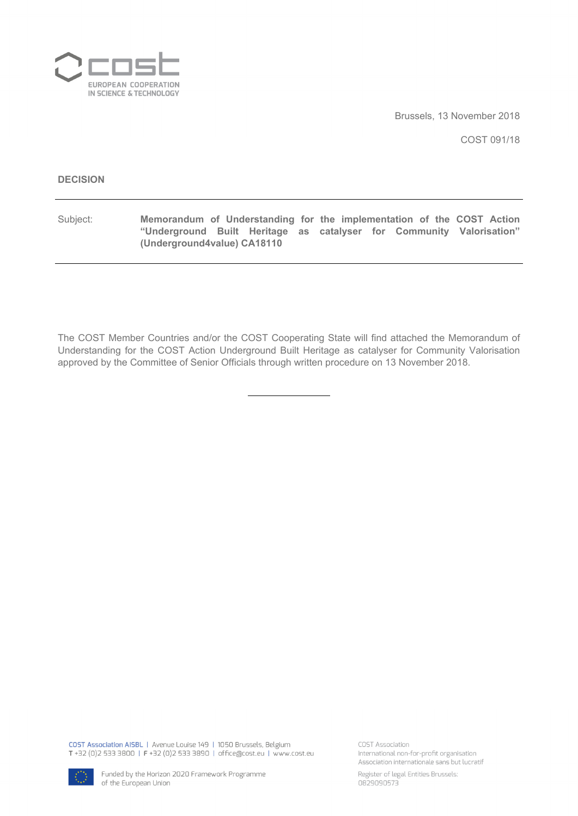

Brussels, 13 November 2018

COST 091/18

#### **DECISION**

Subject: **Memorandum of Understanding for the implementation of the COST Action "Underground Built Heritage as catalyser for Community Valorisation" (Underground4value) CA18110**

The COST Member Countries and/or the COST Cooperating State will find attached the Memorandum of Understanding for the COST Action Underground Built Heritage as catalyser for Community Valorisation approved by the Committee of Senior Officials through written procedure on 13 November 2018.

COST Association AISBL | Avenue Louise 149 | 1050 Brussels, Belgium T +32 (0)2 533 3800 | F +32 (0)2 533 3890 | office@cost.eu | www.cost.eu

COST Association International non-for-profit organisation Association internationale sans but lucratif



Register of legal Entities Brussels: 0829090573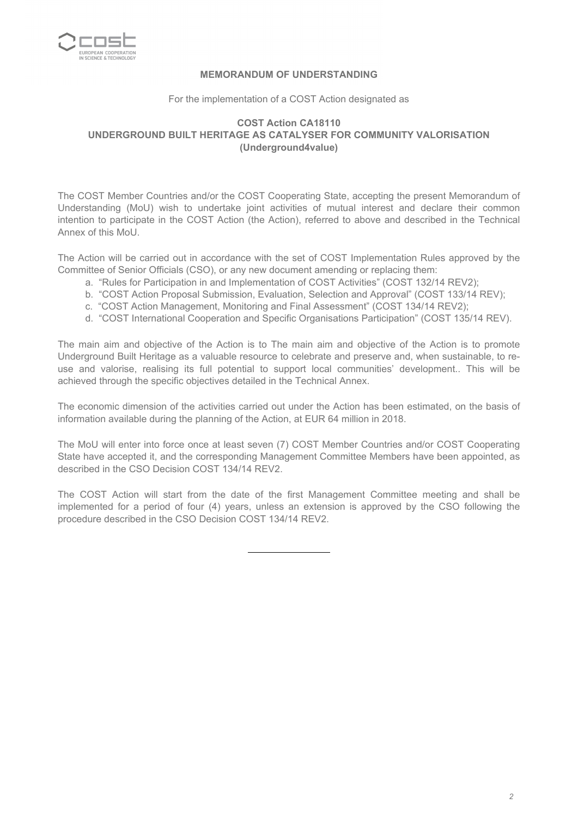

#### **MEMORANDUM OF UNDERSTANDING**

#### For the implementation of a COST Action designated as

#### **COST Action CA18110 UNDERGROUND BUILT HERITAGE AS CATALYSER FOR COMMUNITY VALORISATION (Underground4value)**

The COST Member Countries and/or the COST Cooperating State, accepting the present Memorandum of Understanding (MoU) wish to undertake joint activities of mutual interest and declare their common intention to participate in the COST Action (the Action), referred to above and described in the Technical Annex of this MoU.

The Action will be carried out in accordance with the set of COST Implementation Rules approved by the Committee of Senior Officials (CSO), or any new document amending or replacing them:

- a. "Rules for Participation in and Implementation of COST Activities" (COST 132/14 REV2);
- b. "COST Action Proposal Submission, Evaluation, Selection and Approval" (COST 133/14 REV);
- c. "COST Action Management, Monitoring and Final Assessment" (COST 134/14 REV2);
- d. "COST International Cooperation and Specific Organisations Participation" (COST 135/14 REV).

The main aim and objective of the Action is to The main aim and objective of the Action is to promote Underground Built Heritage as a valuable resource to celebrate and preserve and, when sustainable, to reuse and valorise, realising its full potential to support local communities' development.. This will be achieved through the specific objectives detailed in the Technical Annex.

The economic dimension of the activities carried out under the Action has been estimated, on the basis of information available during the planning of the Action, at EUR 64 million in 2018.

The MoU will enter into force once at least seven (7) COST Member Countries and/or COST Cooperating State have accepted it, and the corresponding Management Committee Members have been appointed, as described in the CSO Decision COST 134/14 REV2.

The COST Action will start from the date of the first Management Committee meeting and shall be implemented for a period of four (4) years, unless an extension is approved by the CSO following the procedure described in the CSO Decision COST 134/14 REV2.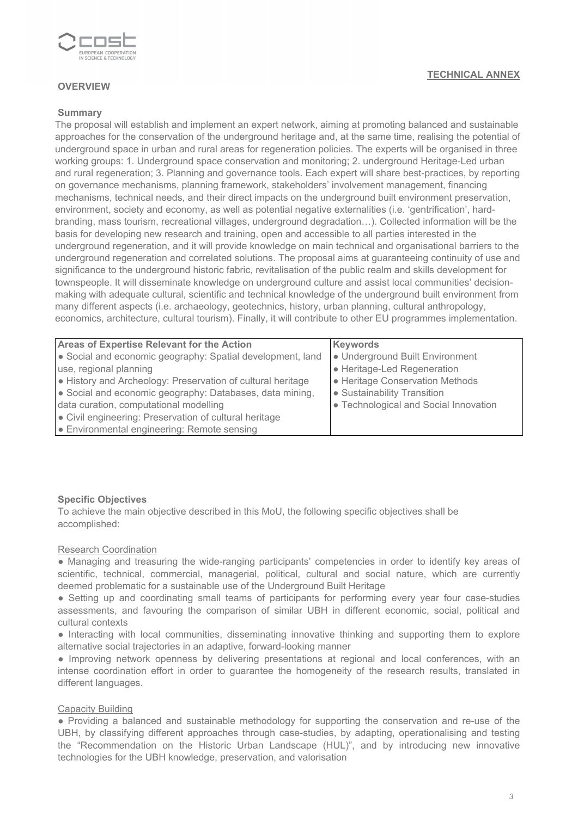

#### **OVERVIEW**

#### **Summary**

The proposal will establish and implement an expert network, aiming at promoting balanced and sustainable approaches for the conservation of the underground heritage and, at the same time, realising the potential of underground space in urban and rural areas for regeneration policies. The experts will be organised in three working groups: 1. Underground space conservation and monitoring; 2. underground Heritage-Led urban and rural regeneration; 3. Planning and governance tools. Each expert will share best-practices, by reporting on governance mechanisms, planning framework, stakeholders' involvement management, financing mechanisms, technical needs, and their direct impacts on the underground built environment preservation, environment, society and economy, as well as potential negative externalities (i.e. 'gentrification', hardbranding, mass tourism, recreational villages, underground degradation…). Collected information will be the basis for developing new research and training, open and accessible to all parties interested in the underground regeneration, and it will provide knowledge on main technical and organisational barriers to the underground regeneration and correlated solutions. The proposal aims at guaranteeing continuity of use and significance to the underground historic fabric, revitalisation of the public realm and skills development for townspeople. It will disseminate knowledge on underground culture and assist local communities' decisionmaking with adequate cultural, scientific and technical knowledge of the underground built environment from many different aspects (i.e. archaeology, geotechnics, history, urban planning, cultural anthropology, economics, architecture, cultural tourism). Finally, it will contribute to other EU programmes implementation.

| Areas of Expertise Relevant for the Action                  | <b>Keywords</b>                       |  |  |  |  |  |
|-------------------------------------------------------------|---------------------------------------|--|--|--|--|--|
| • Social and economic geography: Spatial development, land  | • Underground Built Environment       |  |  |  |  |  |
| use, regional planning                                      | • Heritage-Led Regeneration           |  |  |  |  |  |
| • History and Archeology: Preservation of cultural heritage | • Heritage Conservation Methods       |  |  |  |  |  |
| • Social and economic geography: Databases, data mining,    | • Sustainability Transition           |  |  |  |  |  |
| data curation, computational modelling                      | • Technological and Social Innovation |  |  |  |  |  |
| • Civil engineering: Preservation of cultural heritage      |                                       |  |  |  |  |  |
| • Environmental engineering: Remote sensing                 |                                       |  |  |  |  |  |

#### **Specific Objectives**

To achieve the main objective described in this MoU, the following specific objectives shall be accomplished:

#### Research Coordination

● Managing and treasuring the wide-ranging participants' competencies in order to identify key areas of scientific, technical, commercial, managerial, political, cultural and social nature, which are currently deemed problematic for a sustainable use of the Underground Built Heritage

• Setting up and coordinating small teams of participants for performing every year four case-studies assessments, and favouring the comparison of similar UBH in different economic, social, political and cultural contexts

• Interacting with local communities, disseminating innovative thinking and supporting them to explore alternative social trajectories in an adaptive, forward-looking manner

● Improving network openness by delivering presentations at regional and local conferences, with an intense coordination effort in order to guarantee the homogeneity of the research results, translated in different languages.

#### Capacity Building

● Providing a balanced and sustainable methodology for supporting the conservation and re-use of the UBH, by classifying different approaches through case-studies, by adapting, operationalising and testing the "Recommendation on the Historic Urban Landscape (HUL)", and by introducing new innovative technologies for the UBH knowledge, preservation, and valorisation

#### **TECHNICAL ANNEX**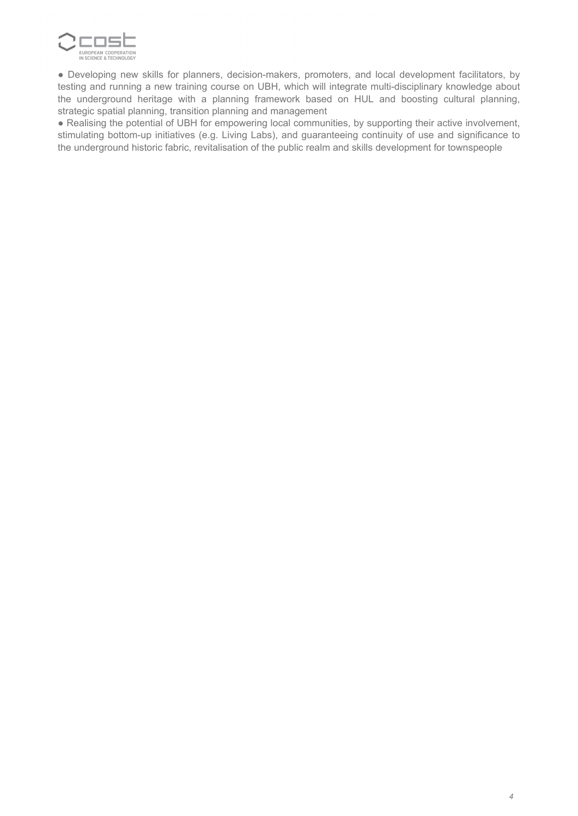

● Developing new skills for planners, decision-makers, promoters, and local development facilitators, by testing and running a new training course on UBH, which will integrate multi-disciplinary knowledge about the underground heritage with a planning framework based on HUL and boosting cultural planning, strategic spatial planning, transition planning and management

• Realising the potential of UBH for empowering local communities, by supporting their active involvement, stimulating bottom-up initiatives (e.g. Living Labs), and guaranteeing continuity of use and significance to the underground historic fabric, revitalisation of the public realm and skills development for townspeople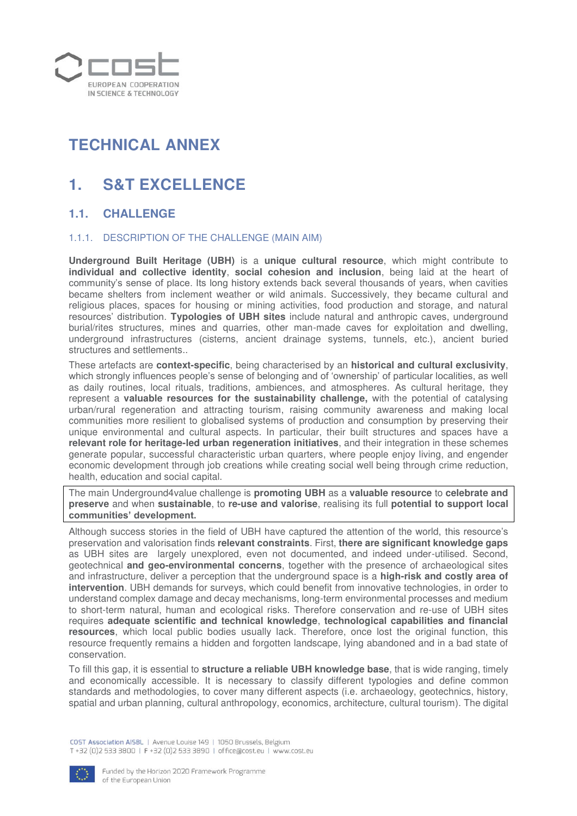

# **TECHNICAL ANNEX**

# **1. S&T EXCELLENCE**

### **1.1. CHALLENGE**

#### 1.1.1. DESCRIPTION OF THE CHALLENGE (MAIN AIM)

**Underground Built Heritage (UBH)** is a **unique cultural resource**, which might contribute to **individual and collective identity**, **social cohesion and inclusion**, being laid at the heart of community's sense of place. Its long history extends back several thousands of years, when cavities became shelters from inclement weather or wild animals. Successively, they became cultural and religious places, spaces for housing or mining activities, food production and storage, and natural resources' distribution. **Typologies of UBH sites** include natural and anthropic caves, underground burial/rites structures, mines and quarries, other man-made caves for exploitation and dwelling, underground infrastructures (cisterns, ancient drainage systems, tunnels, etc.), ancient buried structures and settlements..

These artefacts are **context-specific**, being characterised by an **historical and cultural exclusivity**, which strongly influences people's sense of belonging and of 'ownership' of particular localities, as well as daily routines, local rituals, traditions, ambiences, and atmospheres. As cultural heritage, they represent a **valuable resources for the sustainability challenge,** with the potential of catalysing urban/rural regeneration and attracting tourism, raising community awareness and making local communities more resilient to globalised systems of production and consumption by preserving their unique environmental and cultural aspects. In particular, their built structures and spaces have a **relevant role for heritage-led urban regeneration initiatives**, and their integration in these schemes generate popular, successful characteristic urban quarters, where people enjoy living, and engender economic development through job creations while creating social well being through crime reduction, health, education and social capital.

The main Underground4value challenge is **promoting UBH** as a **valuable resource** to **celebrate and preserve** and when **sustainable**, to **re-use and valorise**, realising its full **potential to support local communities' development.**

Although success stories in the field of UBH have captured the attention of the world, this resource's preservation and valorisation finds **relevant constraints**. First, **there are significant knowledge gaps** as UBH sites are largely unexplored, even not documented, and indeed under-utilised. Second, geotechnical **and geo-environmental concerns**, together with the presence of archaeological sites and infrastructure, deliver a perception that the underground space is a **high-risk and costly area of intervention**. UBH demands for surveys, which could benefit from innovative technologies, in order to understand complex damage and decay mechanisms, long-term environmental processes and medium to short-term natural, human and ecological risks. Therefore conservation and re-use of UBH sites requires **adequate scientific and technical knowledge**, **technological capabilities and financial resources**, which local public bodies usually lack. Therefore, once lost the original function, this resource frequently remains a hidden and forgotten landscape, lying abandoned and in a bad state of conservation.

To fill this gap, it is essential to **structure a reliable UBH knowledge base**, that is wide ranging, timely and economically accessible. It is necessary to classify different typologies and define common standards and methodologies, to cover many different aspects (i.e. archaeology, geotechnics, history, spatial and urban planning, cultural anthropology, economics, architecture, cultural tourism). The digital

COST Association AISBL | Avenue Louise 149 | 1050 Brussels, Belgium T+32 (0)2 533 3800 | F+32 (0)2 533 3890 | office@cost.eu | www.cost.eu

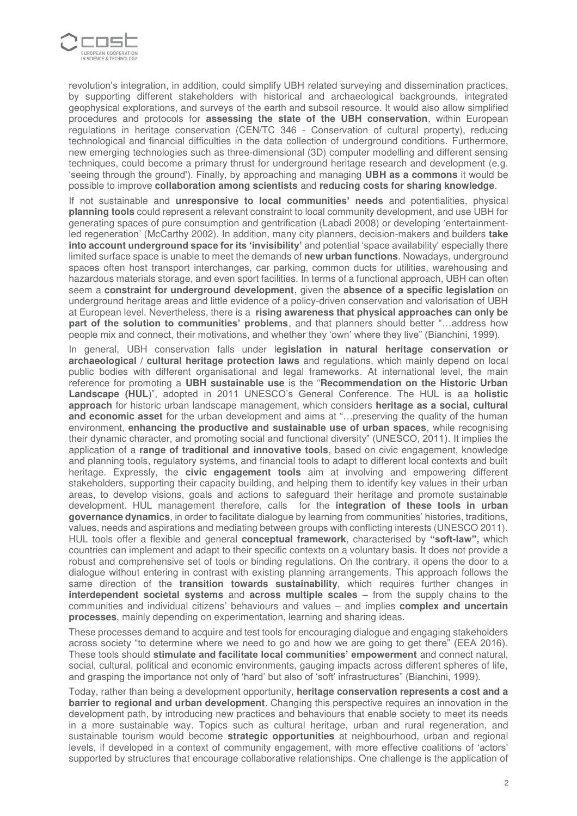

revolution's integration, in addition, could simplify UBH related surveying and dissemination practices, by supporting different stakeholders with historical and archaeological backgrounds, integrated geophysical explorations, and surveys of the earth and subsoil resource. It would also allow simplified procedures and protocols for **assessing the state of the UBH conservation**, within European regulations in heritage conservation (CEN/TC 346 - Conservation of cultural property), reducing technological and financial difficulties in the data collection of underground conditions. Furthermore, new emerging technologies such as three-dimensional (3D) computer modelling and different sensing techniques, could become a primary thrust for underground heritage research and development (e.g. 'seeing through the ground'). Finally, by approaching and managing **UBH as a commons** it would be possible to improve **collaboration among scientists** and **reducing costs for sharing knowledge**.

If not sustainable and **unresponsive to local communities' needs** and potentialities, physical **planning tools** could represent a relevant constraint to local community development, and use UBH for generating spaces of pure consumption and gentrification (Labadi 2008) or developing 'entertainmentled regeneration' (McCarthy 2002). In addition, many city planners, decision-makers and builders **take into account underground space for its 'invisibility'** and potential 'space availability' especially there limited surface space is unable to meet the demands of **new urban functions**. Nowadays, underground spaces often host transport interchanges, car parking, common ducts for utilities, warehousing and hazardous materials storage, and even sport facilities. In terms of a functional approach, UBH can often seem a **constraint for underground development**, given the **absence of a specific legislation** on underground heritage areas and little evidence of a policy-driven conservation and valorisation of UBH at European level. Nevertheless, there is a **rising awareness that physical approaches can only be part of the solution to communities' problems**, and that planners should better "…address how people mix and connect, their motivations, and whether they 'own' where they live" (Bianchini, 1999).

In general, UBH conservation falls under l**egislation in natural heritage conservation or archaeological / cultural heritage protection laws** and regulations, which mainly depend on local public bodies with different organisational and legal frameworks. At international level, the main reference for promoting a **UBH sustainable use** is the "**Recommendation on the Historic Urban Landscape (HUL**)", adopted in 2011 UNESCO's General Conference. The HUL is aa **holistic approach** for historic urban landscape management, which considers **heritage as a social, cultural and economic asset** for the urban development and aims at "…preserving the quality of the human environment, **enhancing the productive and sustainable use of urban spaces**, while recognising their dynamic character, and promoting social and functional diversity" (UNESCO, 2011). It implies the application of a **range of traditional and innovative tools**, based on civic engagement, knowledge and planning tools, regulatory systems, and financial tools to adapt to different local contexts and built heritage. Expressly, the **civic engagement tools** aim at involving and empowering different stakeholders, supporting their capacity building, and helping them to identify key values in their urban areas, to develop visions, goals and actions to safeguard their heritage and promote sustainable development. HUL management therefore, calls for the **integration of these tools in urban governance dynamics**, in order to facilitate dialogue by learning from communities' histories, traditions, values, needs and aspirations and mediating between groups with conflicting interests (UNESCO 2011). HUL tools offer a flexible and general **conceptual framework**, characterised by **"soft-law",** which countries can implement and adapt to their specific contexts on a voluntary basis. It does not provide a robust and comprehensive set of tools or binding regulations. On the contrary, it opens the door to a dialogue without entering in contrast with existing planning arrangements. This approach follows the same direction of the **transition towards sustainability**, which requires further changes in **interdependent societal systems** and **across multiple scales** – from the supply chains to the communities and individual citizens' behaviours and values – and implies **complex and uncertain processes**, mainly depending on experimentation, learning and sharing ideas.

These processes demand to acquire and test tools for encouraging dialogue and engaging stakeholders across society "to determine where we need to go and how we are going to get there" (EEA 2016). These tools should **stimulate and facilitate local communities' empowerment** and connect natural, social, cultural, political and economic environments, gauging impacts across different spheres of life, and grasping the importance not only of 'hard' but also of 'soft' infrastructures" (Bianchini, 1999).

Today, rather than being a development opportunity, **heritage conservation represents a cost and a barrier to regional and urban development**. Changing this perspective requires an innovation in the development path, by introducing new practices and behaviours that enable society to meet its needs in a more sustainable way. Topics such as cultural heritage, urban and rural regeneration, and sustainable tourism would become **strategic opportunities** at neighbourhood, urban and regional levels, if developed in a context of community engagement, with more effective coalitions of 'actors' supported by structures that encourage collaborative relationships. One challenge is the application of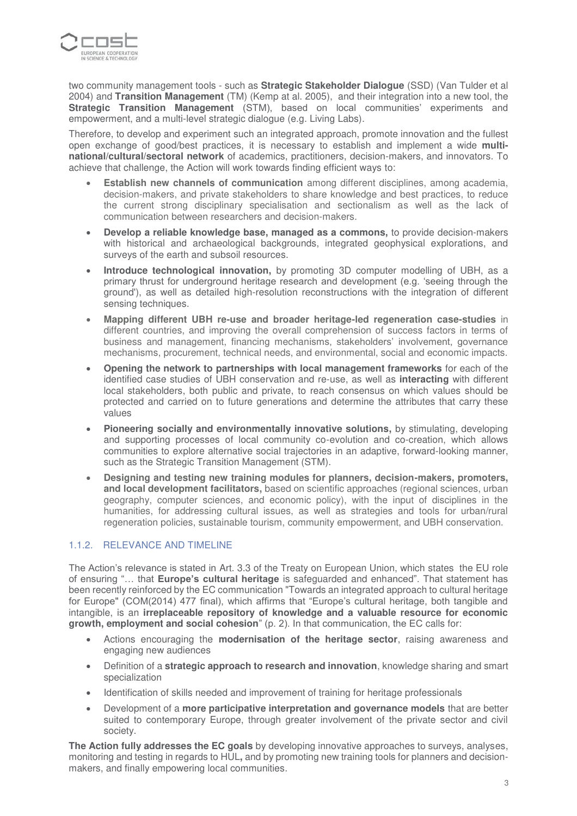

two community management tools - such as **Strategic Stakeholder Dialogue** (SSD) (Van Tulder et al 2004) and **Transition Management** (TM) (Kemp at al. 2005), and their integration into a new tool, the **Strategic Transition Management** (STM), based on local communities' experiments and empowerment, and a multi-level strategic dialogue (e.g. Living Labs).

Therefore, to develop and experiment such an integrated approach, promote innovation and the fullest open exchange of good/best practices, it is necessary to establish and implement a wide **multinational/cultural/sectoral network** of academics, practitioners, decision-makers, and innovators. To achieve that challenge, the Action will work towards finding efficient ways to:

- **Establish new channels of communication** among different disciplines, among academia, decision-makers, and private stakeholders to share knowledge and best practices, to reduce the current strong disciplinary specialisation and sectionalism as well as the lack of communication between researchers and decision-makers.
- **Develop a reliable knowledge base, managed as a commons,** to provide decision-makers with historical and archaeological backgrounds, integrated geophysical explorations, and surveys of the earth and subsoil resources.
- **Introduce technological innovation,** by promoting 3D computer modelling of UBH, as a primary thrust for underground heritage research and development (e.g. 'seeing through the ground'), as well as detailed high-resolution reconstructions with the integration of different sensing techniques.
- **Mapping different UBH re-use and broader heritage-led regeneration case-studies** in different countries, and improving the overall comprehension of success factors in terms of business and management, financing mechanisms, stakeholders' involvement, governance mechanisms, procurement, technical needs, and environmental, social and economic impacts.
- **Opening the network to partnerships with local management frameworks** for each of the identified case studies of UBH conservation and re-use, as well as **interacting** with different local stakeholders, both public and private, to reach consensus on which values should be protected and carried on to future generations and determine the attributes that carry these values
- **Pioneering socially and environmentally innovative solutions,** by stimulating, developing and supporting processes of local community co-evolution and co-creation, which allows communities to explore alternative social trajectories in an adaptive, forward-looking manner, such as the Strategic Transition Management (STM).
- **Designing and testing new training modules for planners, decision-makers, promoters, and local development facilitators,** based on scientific approaches (regional sciences, urban geography, computer sciences, and economic policy), with the input of disciplines in the humanities, for addressing cultural issues, as well as strategies and tools for urban/rural regeneration policies, sustainable tourism, community empowerment, and UBH conservation.

### 1.1.2. RELEVANCE AND TIMELINE

The Action's relevance is stated in Art. 3.3 of the Treaty on European Union, which states the EU role of ensuring "… that **Europe's cultural heritage** is safeguarded and enhanced". That statement has been recently reinforced by the EC communication "Towards an integrated approach to cultural heritage for Europe" (COM(2014) 477 final), which affirms that "Europe's cultural heritage, both tangible and intangible, is an **irreplaceable repository of knowledge and a valuable resource for economic growth, employment and social cohesion**" (p. 2). In that communication, the EC calls for:

- Actions encouraging the **modernisation of the heritage sector**, raising awareness and engaging new audiences
- Definition of a **strategic approach to research and innovation**, knowledge sharing and smart specialization
- Identification of skills needed and improvement of training for heritage professionals
- Development of a **more participative interpretation and governance models** that are better suited to contemporary Europe, through greater involvement of the private sector and civil society.

**The Action fully addresses the EC goals** by developing innovative approaches to surveys, analyses, monitoring and testing in regards to HUL**,** and by promoting new training tools for planners and decisionmakers, and finally empowering local communities.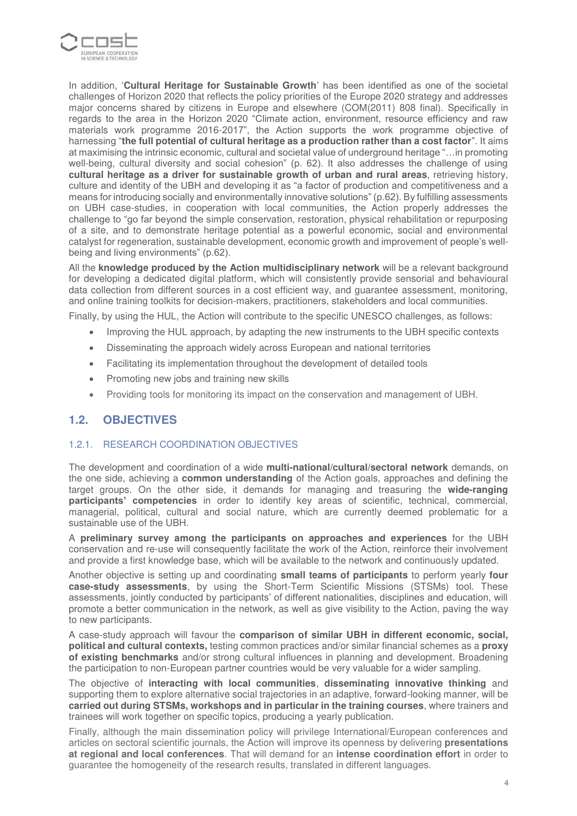

In addition, '**Cultural Heritage for Sustainable Growth**' has been identified as one of the societal challenges of Horizon 2020 that reflects the policy priorities of the Europe 2020 strategy and addresses major concerns shared by citizens in Europe and elsewhere (COM(2011) 808 final). Specifically in regards to the area in the Horizon 2020 "Climate action, environment, resource efficiency and raw materials work programme 2016-2017", the Action supports the work programme objective of harnessing "**the full potential of cultural heritage as a production rather than a cost factor**". It aims at maximising the intrinsic economic, cultural and societal value of underground heritage "…in promoting well-being, cultural diversity and social cohesion" (p. 62). It also addresses the challenge of using **cultural heritage as a driver for sustainable growth of urban and rural areas**, retrieving history, culture and identity of the UBH and developing it as "a factor of production and competitiveness and a means for introducing socially and environmentally innovative solutions" (p.62). By fulfilling assessments on UBH case-studies, in cooperation with local communities, the Action properly addresses the challenge to "go far beyond the simple conservation, restoration, physical rehabilitation or repurposing of a site, and to demonstrate heritage potential as a powerful economic, social and environmental catalyst for regeneration, sustainable development, economic growth and improvement of people's wellbeing and living environments" (p.62).

All the **knowledge produced by the Action multidisciplinary network** will be a relevant background for developing a dedicated digital platform, which will consistently provide sensorial and behavioural data collection from different sources in a cost efficient way, and guarantee assessment, monitoring, and online training toolkits for decision-makers, practitioners, stakeholders and local communities.

Finally, by using the HUL, the Action will contribute to the specific UNESCO challenges, as follows:

- Improving the HUL approach, by adapting the new instruments to the UBH specific contexts
- Disseminating the approach widely across European and national territories
- Facilitating its implementation throughout the development of detailed tools
- Promoting new jobs and training new skills
- Providing tools for monitoring its impact on the conservation and management of UBH.

### **1.2. OBJECTIVES**

#### 1.2.1. RESEARCH COORDINATION OBJECTIVES

The development and coordination of a wide **multi-national/cultural/sectoral network** demands, on the one side, achieving a **common understanding** of the Action goals, approaches and defining the target groups. On the other side, it demands for managing and treasuring the **wide-ranging participants' competencies** in order to identify key areas of scientific, technical, commercial, managerial, political, cultural and social nature, which are currently deemed problematic for a sustainable use of the UBH.

A **preliminary survey among the participants on approaches and experiences** for the UBH conservation and re-use will consequently facilitate the work of the Action, reinforce their involvement and provide a first knowledge base, which will be available to the network and continuously updated.

Another objective is setting up and coordinating **small teams of participants** to perform yearly **four case-study assessments**, by using the Short-Term Scientific Missions (STSMs) tool. These assessments, jointly conducted by participants' of different nationalities, disciplines and education, will promote a better communication in the network, as well as give visibility to the Action, paving the way to new participants.

A case-study approach will favour the **comparison of similar UBH in different economic, social, political and cultural contexts,** testing common practices and/or similar financial schemes as a **proxy of existing benchmarks** and/or strong cultural influences in planning and development. Broadening the participation to non-European partner countries would be very valuable for a wider sampling.

The objective of **interacting with local communities**, **disseminating innovative thinking** and supporting them to explore alternative social trajectories in an adaptive, forward-looking manner, will be **carried out during STSMs, workshops and in particular in the training courses**, where trainers and trainees will work together on specific topics, producing a yearly publication.

Finally, although the main dissemination policy will privilege International/European conferences and articles on sectoral scientific journals, the Action will improve its openness by delivering **presentations at regional and local conferences**. That will demand for an **intense coordination effort** in order to guarantee the homogeneity of the research results, translated in different languages.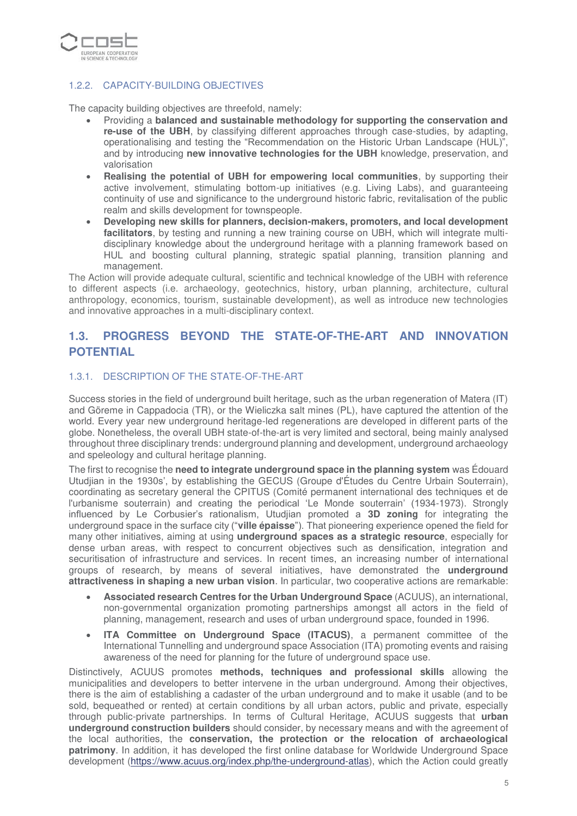

### 1.2.2. CAPACITY-BUILDING OBJECTIVES

The capacity building objectives are threefold, namely:

- Providing a **balanced and sustainable methodology for supporting the conservation and re-use of the UBH**, by classifying different approaches through case-studies, by adapting, operationalising and testing the "Recommendation on the Historic Urban Landscape (HUL)", and by introducing **new innovative technologies for the UBH** knowledge, preservation, and valorisation
- **Realising the potential of UBH for empowering local communities**, by supporting their active involvement, stimulating bottom-up initiatives (e.g. Living Labs), and guaranteeing continuity of use and significance to the underground historic fabric, revitalisation of the public realm and skills development for townspeople.
- **Developing new skills for planners, decision-makers, promoters, and local development**  facilitators, by testing and running a new training course on UBH, which will integrate multidisciplinary knowledge about the underground heritage with a planning framework based on HUL and boosting cultural planning, strategic spatial planning, transition planning and management.

The Action will provide adequate cultural, scientific and technical knowledge of the UBH with reference to different aspects (i.e. archaeology, geotechnics, history, urban planning, architecture, cultural anthropology, economics, tourism, sustainable development), as well as introduce new technologies and innovative approaches in a multi-disciplinary context.

## **1.3. PROGRESS BEYOND THE STATE-OF-THE-ART AND INNOVATION POTENTIAL**

#### 1.3.1. DESCRIPTION OF THE STATE-OF-THE-ART

Success stories in the field of underground built heritage, such as the urban regeneration of Matera (IT) and Göreme in Cappadocia (TR), or the Wieliczka salt mines (PL), have captured the attention of the world. Every year new underground heritage-led regenerations are developed in different parts of the globe. Nonetheless, the overall UBH state-of-the-art is very limited and sectoral, being mainly analysed throughout three disciplinary trends: underground planning and development, underground archaeology and speleology and cultural heritage planning.

The first to recognise the **need to integrate underground space in the planning system** was Édouard Utudjian in the 1930s', by establishing the GECUS (Groupe d'Études du Centre Urbain Souterrain), coordinating as secretary general the CPITUS (Comité permanent international des techniques et de l'urbanisme souterrain) and creating the periodical 'Le Monde souterrain' (1934-1973). Strongly influenced by Le Corbusier's rationalism, Utudjian promoted a **3D zoning** for integrating the underground space in the surface city ("**ville épaisse**"). That pioneering experience opened the field for many other initiatives, aiming at using **underground spaces as a strategic resource**, especially for dense urban areas, with respect to concurrent objectives such as densification, integration and securitisation of infrastructure and services. In recent times, an increasing number of international groups of research, by means of several initiatives, have demonstrated the **underground attractiveness in shaping a new urban vision**. In particular, two cooperative actions are remarkable:

- **Associated research Centres for the Urban Underground Space** (ACUUS), an international, non-governmental organization promoting partnerships amongst all actors in the field of planning, management, research and uses of urban underground space, founded in 1996.
- **ITA Committee on Underground Space (ITACUS)**, a permanent committee of the International Tunnelling and underground space Association (ITA) promoting events and raising awareness of the need for planning for the future of underground space use.

Distinctively, ACUUS promotes **methods, techniques and professional skills** allowing the municipalities and developers to better intervene in the urban underground. Among their objectives, there is the aim of establishing a cadaster of the urban underground and to make it usable (and to be sold, bequeathed or rented) at certain conditions by all urban actors, public and private, especially through public-private partnerships. In terms of Cultural Heritage, ACUUS suggests that **urban underground construction builders** should consider, by necessary means and with the agreement of the local authorities, the **conservation, the protection or the relocation of archaeological patrimony**. In addition, it has developed the first online database for Worldwide Underground Space development [\(https://www.acuus.org/index.php/the-underground-atlas\)](https://www.acuus.org/index.php/the-underground-atlas), which the Action could greatly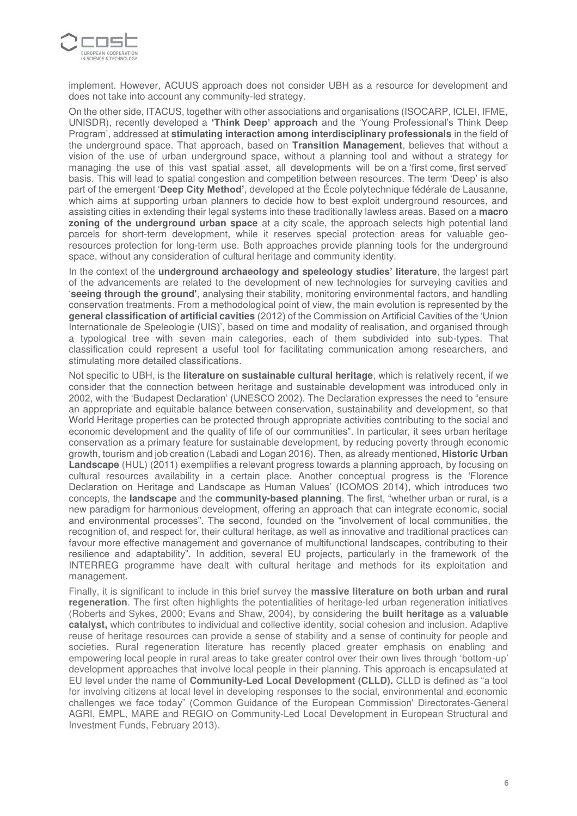

implement. However, ACUUS approach does not consider UBH as a resource for development and does not take into account any community-led strategy.

On the other side, ITACUS, together with other associations and organisations (ISOCARP, ICLEI, IFME, UNISDR), recently developed a **'Think Deep' approach** and the 'Young Professional's Think Deep Program', addressed at **stimulating interaction among interdisciplinary professionals** in the field of the underground space. That approach, based on **Transition Management**, believes that without a vision of the use of urban underground space, without a planning tool and without a strategy for managing the use of this vast spatial asset, all developments will be on a 'first come, first served' basis. This will lead to spatial congestion and competition between resources. The term 'Deep' is also part of the emergent '**Deep City Method'**, developed at the École polytechnique fédérale de Lausanne, which aims at supporting urban planners to decide how to best exploit underground resources, and assisting cities in extending their legal systems into these traditionally lawless areas. Based on a **macro zoning of the underground urban space** at a city scale, the approach selects high potential land parcels for short-term development, while it reserves special protection areas for valuable georesources protection for long-term use. Both approaches provide planning tools for the underground space, without any consideration of cultural heritage and community identity.

In the context of the **underground archaeology and speleology studies' literature**, the largest part of the advancements are related to the development of new technologies for surveying cavities and '**seeing through the ground'**, analysing their stability, monitoring environmental factors, and handling conservation treatments. From a methodological point of view, the main evolution is represented by the **general classification of artificial cavities** (2012) of the Commission on Artificial Cavities of the 'Union Internationale de Speleologie (UIS)', based on time and modality of realisation, and organised through a typological tree with seven main categories, each of them subdivided into sub-types. That classification could represent a useful tool for facilitating communication among researchers, and stimulating more detailed classifications.

Not specific to UBH, is the **literature on sustainable cultural heritage**, which is relatively recent, if we consider that the connection between heritage and sustainable development was introduced only in 2002, with the 'Budapest Declaration' (UNESCO 2002). The Declaration expresses the need to "ensure an appropriate and equitable balance between conservation, sustainability and development, so that World Heritage properties can be protected through appropriate activities contributing to the social and economic development and the quality of life of our communities". In particular, it sees urban heritage conservation as a primary feature for sustainable development, by reducing poverty through economic growth, tourism and job creation (Labadi and Logan 2016). Then, as already mentioned, **Historic Urban Landscape** (HUL) (2011) exemplifies a relevant progress towards a planning approach, by focusing on cultural resources availability in a certain place. Another conceptual progress is the 'Florence Declaration on Heritage and Landscape as Human Values' (ICOMOS 2014), which introduces two concepts, the **landscape** and the **community-based planning**. The first, "whether urban or rural, is a new paradigm for harmonious development, offering an approach that can integrate economic, social and environmental processes". The second, founded on the "involvement of local communities, the recognition of, and respect for, their cultural heritage, as well as innovative and traditional practices can favour more effective management and governance of multifunctional landscapes, contributing to their resilience and adaptability". In addition, several EU projects, particularly in the framework of the INTERREG programme have dealt with cultural heritage and methods for its exploitation and management.

Finally, it is significant to include in this brief survey the **massive literature on both urban and rural regeneration**. The first often highlights the potentialities of heritage-led urban regeneration initiatives (Roberts and Sykes, 2000; Evans and Shaw, 2004), by considering the **built heritage** as a **valuable catalyst,** which contributes to individual and collective identity, social cohesion and inclusion. Adaptive reuse of heritage resources can provide a sense of stability and a sense of continuity for people and societies. Rural regeneration literature has recently placed greater emphasis on enabling and empowering local people in rural areas to take greater control over their own lives through 'bottom-up' development approaches that involve local people in their planning. This approach is encapsulated at EU level under the name of **Community-Led Local Development (CLLD).** CLLD is defined as "a tool for involving citizens at local level in developing responses to the social, environmental and economic challenges we face today" (Common Guidance of the European Commission' Directorates-General AGRI, EMPL, MARE and REGIO on Community-Led Local Development in European Structural and Investment Funds, February 2013).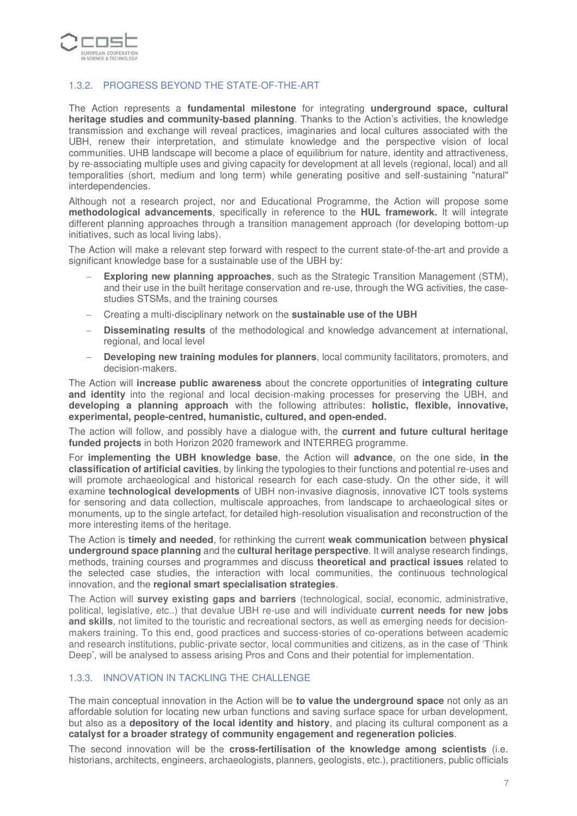

#### 1.3.2. PROGRESS BEYOND THE STATE-OF-THE-ART

The Action represents a **fundamental milestone** for integrating **underground space, cultural heritage studies and community-based planning**. Thanks to the Action's activities, the knowledge transmission and exchange will reveal practices, imaginaries and local cultures associated with the UBH, renew their interpretation, and stimulate knowledge and the perspective vision of local communities. UHB landscape will become a place of equilibrium for nature, identity and attractiveness, by re-associating multiple uses and giving capacity for development at all levels (regional, local) and all temporalities (short, medium and long term) while generating positive and self-sustaining "natural" interdependencies.

Although not a research project, nor and Educational Programme, the Action will propose some **methodological advancements**, specifically in reference to the **HUL framework.** It will integrate different planning approaches through a transition management approach (for developing bottom-up initiatives, such as local living labs).

The Action will make a relevant step forward with respect to the current state-of-the-art and provide a significant knowledge base for a sustainable use of the UBH by:

- **Exploring new planning approaches**, such as the Strategic Transition Management (STM), and their use in the built heritage conservation and re-use, through the WG activities, the casestudies STSMs, and the training courses
- − Creating a multi-disciplinary network on the **sustainable use of the UBH**
- − **Disseminating results** of the methodological and knowledge advancement at international, regional, and local level
- **Developing new training modules for planners**, local community facilitators, promoters, and decision-makers.

The Action will **increase public awareness** about the concrete opportunities of **integrating culture and identity** into the regional and local decision-making processes for preserving the UBH, and **developing a planning approach** with the following attributes: **holistic, flexible, innovative, experimental, people-centred, humanistic, cultured, and open-ended.**

The action will follow, and possibly have a dialogue with, the **current and future cultural heritage funded projects** in both Horizon 2020 framework and INTERREG programme.

For **implementing the UBH knowledge base**, the Action will **advance**, on the one side, **in the classification of artificial cavities**, by linking the typologies to their functions and potential re-uses and will promote archaeological and historical research for each case-study. On the other side, it will examine **technological developments** of UBH non-invasive diagnosis, innovative ICT tools systems for sensoring and data collection, multiscale approaches, from landscape to archaeological sites or monuments, up to the single artefact, for detailed high-resolution visualisation and reconstruction of the more interesting items of the heritage.

The Action is **timely and needed**, for rethinking the current **weak communication** between **physical underground space planning** and the **cultural heritage perspective**. It will analyse research findings, methods, training courses and programmes and discuss **theoretical and practical issues** related to the selected case studies, the interaction with local communities, the continuous technological innovation, and the **regional smart specialisation strategies**.

The Action will **survey existing gaps and barriers** (technological, social, economic, administrative, political, legislative, etc..) that devalue UBH re-use and will individuate **current needs for new jobs and skills**, not limited to the touristic and recreational sectors, as well as emerging needs for decisionmakers training. To this end, good practices and success-stories of co-operations between academic and research institutions, public-private sector, local communities and citizens, as in the case of 'Think Deep', will be analysed to assess arising Pros and Cons and their potential for implementation.

#### 1.3.3. INNOVATION IN TACKLING THE CHALLENGE

The main conceptual innovation in the Action will be **to value the underground space** not only as an affordable solution for locating new urban functions and saving surface space for urban development, but also as a **depository of the local identity and history**, and placing its cultural component as a **catalyst for a broader strategy of community engagement and regeneration policies**.

The second innovation will be the **cross-fertilisation of the knowledge among scientists** (i.e. historians, architects, engineers, archaeologists, planners, geologists, etc.), practitioners, public officials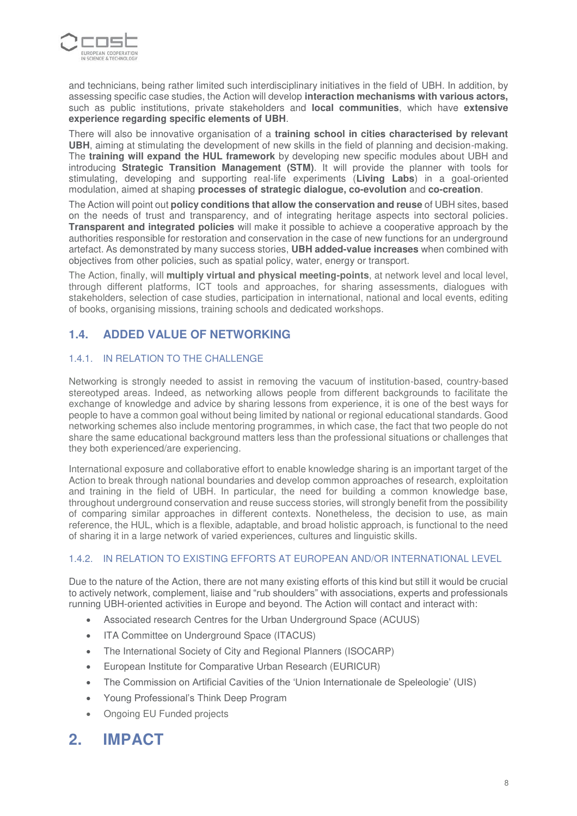

and technicians, being rather limited such interdisciplinary initiatives in the field of UBH. In addition, by assessing specific case studies, the Action will develop **interaction mechanisms with various actors,** such as public institutions, private stakeholders and **local communities**, which have **extensive experience regarding specific elements of UBH**.

There will also be innovative organisation of a **training school in cities characterised by relevant UBH**, aiming at stimulating the development of new skills in the field of planning and decision-making. The **training will expand the HUL framework** by developing new specific modules about UBH and introducing **Strategic Transition Management (STM)**. It will provide the planner with tools for stimulating, developing and supporting real-life experiments (**Living Labs**) in a goal-oriented modulation, aimed at shaping **processes of strategic dialogue, co-evolution** and **co-creation**.

The Action will point out **policy conditions that allow the conservation and reuse** of UBH sites, based on the needs of trust and transparency, and of integrating heritage aspects into sectoral policies. **Transparent and integrated policies** will make it possible to achieve a cooperative approach by the authorities responsible for restoration and conservation in the case of new functions for an underground artefact. As demonstrated by many success stories, **UBH added-value increases** when combined with objectives from other policies, such as spatial policy, water, energy or transport.

The Action, finally, will **multiply virtual and physical meeting-points**, at network level and local level, through different platforms, ICT tools and approaches, for sharing assessments, dialogues with stakeholders, selection of case studies, participation in international, national and local events, editing of books, organising missions, training schools and dedicated workshops.

# **1.4. ADDED VALUE OF NETWORKING**

### 1.4.1. IN RELATION TO THE CHALLENGE

Networking is strongly needed to assist in removing the vacuum of institution-based, country-based stereotyped areas. Indeed, as networking allows people from different backgrounds to facilitate the exchange of knowledge and advice by sharing lessons from experience, it is one of the best ways for people to have a common goal without being limited by national or regional educational standards. Good networking schemes also include mentoring programmes, in which case, the fact that two people do not share the same educational background matters less than the professional situations or challenges that they both experienced/are experiencing.

International exposure and collaborative effort to enable knowledge sharing is an important target of the Action to break through national boundaries and develop common approaches of research, exploitation and training in the field of UBH. In particular, the need for building a common knowledge base, throughout underground conservation and reuse success stories, will strongly benefit from the possibility of comparing similar approaches in different contexts. Nonetheless, the decision to use, as main reference, the HUL, which is a flexible, adaptable, and broad holistic approach, is functional to the need of sharing it in a large network of varied experiences, cultures and linguistic skills.

### 1.4.2. IN RELATION TO EXISTING EFFORTS AT EUROPEAN AND/OR INTERNATIONAL LEVEL

Due to the nature of the Action, there are not many existing efforts of this kind but still it would be crucial to actively network, complement, liaise and "rub shoulders" with associations, experts and professionals running UBH-oriented activities in Europe and beyond. The Action will contact and interact with:

- Associated research Centres for the Urban Underground Space (ACUUS)
- ITA Committee on Underground Space (ITACUS)
- The International Society of City and Regional Planners (ISOCARP)
- European Institute for Comparative Urban Research (EURICUR)
- The Commission on Artificial Cavities of the 'Union Internationale de Speleologie' (UIS)
- Young Professional's Think Deep Program
- Ongoing EU Funded projects

# **2. IMPACT**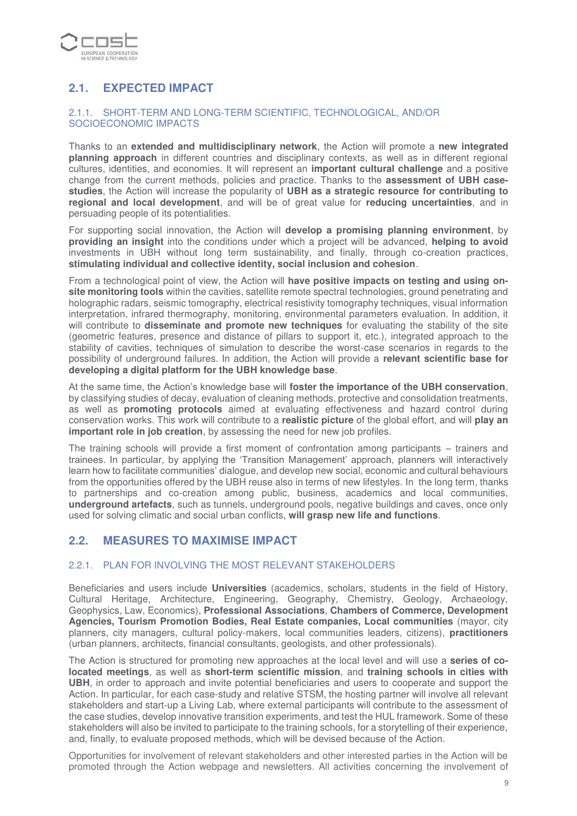

# **2.1. EXPECTED IMPACT**

#### 2.1.1. SHORT-TERM AND LONG-TERM SCIENTIFIC, TECHNOLOGICAL, AND/OR SOCIOECONOMIC IMPACTS

Thanks to an **extended and multidisciplinary network**, the Action will promote a **new integrated planning approach** in different countries and disciplinary contexts, as well as in different regional cultures, identities, and economies. It will represent an **important cultural challenge** and a positive change from the current methods, policies and practice. Thanks to the **assessment of UBH casestudies**, the Action will increase the popularity of **UBH as a strategic resource for contributing to regional and local development**, and will be of great value for **reducing uncertainties**, and in persuading people of its potentialities.

For supporting social innovation, the Action will **develop a promising planning environment**, by **providing an insight** into the conditions under which a project will be advanced, **helping to avoid**  investments in UBH without long term sustainability, and finally, through co-creation practices, **stimulating individual and collective identity, social inclusion and cohesion**.

From a technological point of view, the Action will **have positive impacts on testing and using onsite monitoring tools** within the cavities, satellite remote spectral technologies, ground penetrating and holographic radars, seismic tomography, electrical resistivity tomography techniques, visual information interpretation, infrared thermography, monitoring, environmental parameters evaluation. In addition, it will contribute to **disseminate and promote new techniques** for evaluating the stability of the site (geometric features, presence and distance of pillars to support it, etc.), integrated approach to the stability of cavities, techniques of simulation to describe the worst-case scenarios in regards to the possibility of underground failures. In addition, the Action will provide a **relevant scientific base for developing a digital platform for the UBH knowledge base**.

At the same time, the Action's knowledge base will **foster the importance of the UBH conservation**, by classifying studies of decay, evaluation of cleaning methods, protective and consolidation treatments, as well as **promoting protocols** aimed at evaluating effectiveness and hazard control during conservation works. This work will contribute to a **realistic picture** of the global effort, and will **play an important role in job creation**, by assessing the need for new job profiles.

The training schools will provide a first moment of confrontation among participants – trainers and trainees. In particular, by applying the 'Transition Management' approach, planners will interactively learn how to facilitate communities' dialogue, and develop new social, economic and cultural behaviours from the opportunities offered by the UBH reuse also in terms of new lifestyles. In the long term, thanks to partnerships and co-creation among public, business, academics and local communities, **underground artefacts**, such as tunnels, underground pools, negative buildings and caves, once only used for solving climatic and social urban conflicts, **will grasp new life and functions**.

## **2.2. MEASURES TO MAXIMISE IMPACT**

#### 2.2.1. PLAN FOR INVOLVING THE MOST RELEVANT STAKEHOLDERS

Beneficiaries and users include **Universities** (academics, scholars, students in the field of History, Cultural Heritage, Architecture, Engineering, Geography, Chemistry, Geology, Archaeology, Geophysics, Law, Economics), **Professional Associations**, **Chambers of Commerce, Development Agencies, Tourism Promotion Bodies, Real Estate companies, Local communities** (mayor, city planners, city managers, cultural policy-makers, local communities leaders, citizens), **practitioners** (urban planners, architects, financial consultants, geologists, and other professionals).

The Action is structured for promoting new approaches at the local level and will use a **series of colocated meetings**, as well as **short-term scientific mission**, and **training schools in cities with UBH**, in order to approach and invite potential beneficiaries and users to cooperate and support the Action. In particular, for each case-study and relative STSM, the hosting partner will involve all relevant stakeholders and start-up a Living Lab, where external participants will contribute to the assessment of the case studies, develop innovative transition experiments, and test the HUL framework. Some of these stakeholders will also be invited to participate to the training schools, for a storytelling of their experience, and, finally, to evaluate proposed methods, which will be devised because of the Action.

Opportunities for involvement of relevant stakeholders and other interested parties in the Action will be promoted through the Action webpage and newsletters. All activities concerning the involvement of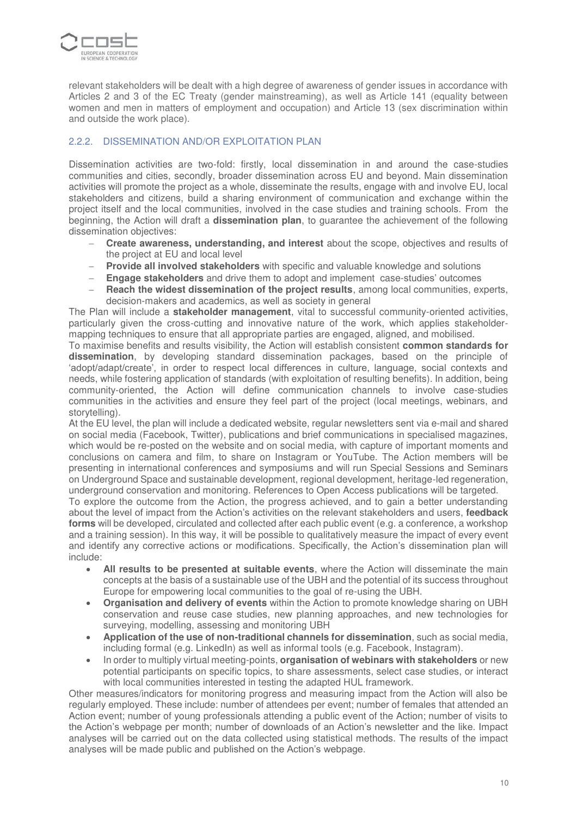

relevant stakeholders will be dealt with a high degree of awareness of gender issues in accordance with Articles 2 and 3 of the EC Treaty (gender mainstreaming), as well as Article 141 (equality between women and men in matters of employment and occupation) and Article 13 (sex discrimination within and outside the work place).

### 2.2.2. DISSEMINATION AND/OR EXPLOITATION PLAN

Dissemination activities are two-fold: firstly, local dissemination in and around the case-studies communities and cities, secondly, broader dissemination across EU and beyond. Main dissemination activities will promote the project as a whole, disseminate the results, engage with and involve EU, local stakeholders and citizens, build a sharing environment of communication and exchange within the project itself and the local communities, involved in the case studies and training schools. From the beginning, the Action will draft a **dissemination plan**, to guarantee the achievement of the following dissemination objectives:

- − **Create awareness, understanding, and interest** about the scope, objectives and results of the project at EU and local level
- − **Provide all involved stakeholders** with specific and valuable knowledge and solutions
- − **Engage stakeholders** and drive them to adopt and implement case-studies' outcomes
- **Reach the widest dissemination of the project results**, among local communities, experts, decision-makers and academics, as well as society in general

The Plan will include a **stakeholder management**, vital to successful community-oriented activities, particularly given the cross-cutting and innovative nature of the work, which applies stakeholdermapping techniques to ensure that all appropriate parties are engaged, aligned, and mobilised.

To maximise benefits and results visibility, the Action will establish consistent **common standards for dissemination**, by developing standard dissemination packages, based on the principle of 'adopt/adapt/create', in order to respect local differences in culture, language, social contexts and needs, while fostering application of standards (with exploitation of resulting benefits). In addition, being community-oriented, the Action will define communication channels to involve case-studies communities in the activities and ensure they feel part of the project (local meetings, webinars, and storytelling).

At the EU level, the plan will include a dedicated website, regular newsletters sent via e-mail and shared on social media (Facebook, Twitter), publications and brief communications in specialised magazines, which would be re-posted on the website and on social media, with capture of important moments and conclusions on camera and film, to share on Instagram or YouTube. The Action members will be presenting in international conferences and symposiums and will run Special Sessions and Seminars on Underground Space and sustainable development, regional development, heritage-led regeneration, underground conservation and monitoring. References to Open Access publications will be targeted.

To explore the outcome from the Action, the progress achieved, and to gain a better understanding about the level of impact from the Action's activities on the relevant stakeholders and users, **feedback forms** will be developed, circulated and collected after each public event (e.g. a conference, a workshop and a training session). In this way, it will be possible to qualitatively measure the impact of every event and identify any corrective actions or modifications. Specifically, the Action's dissemination plan will include:

- **All results to be presented at suitable events**, where the Action will disseminate the main concepts at the basis of a sustainable use of the UBH and the potential of its success throughout Europe for empowering local communities to the goal of re-using the UBH.
- **Organisation and delivery of events** within the Action to promote knowledge sharing on UBH conservation and reuse case studies, new planning approaches, and new technologies for surveying, modelling, assessing and monitoring UBH
- **Application of the use of non-traditional channels for dissemination**, such as social media, including formal (e.g. LinkedIn) as well as informal tools (e.g. Facebook, Instagram).
- In order to multiply virtual meeting-points, **organisation of webinars with stakeholders** or new potential participants on specific topics, to share assessments, select case studies, or interact with local communities interested in testing the adapted HUL framework.

Other measures/indicators for monitoring progress and measuring impact from the Action will also be regularly employed. These include: number of attendees per event; number of females that attended an Action event; number of young professionals attending a public event of the Action; number of visits to the Action's webpage per month; number of downloads of an Action's newsletter and the like. Impact analyses will be carried out on the data collected using statistical methods. The results of the impact analyses will be made public and published on the Action's webpage.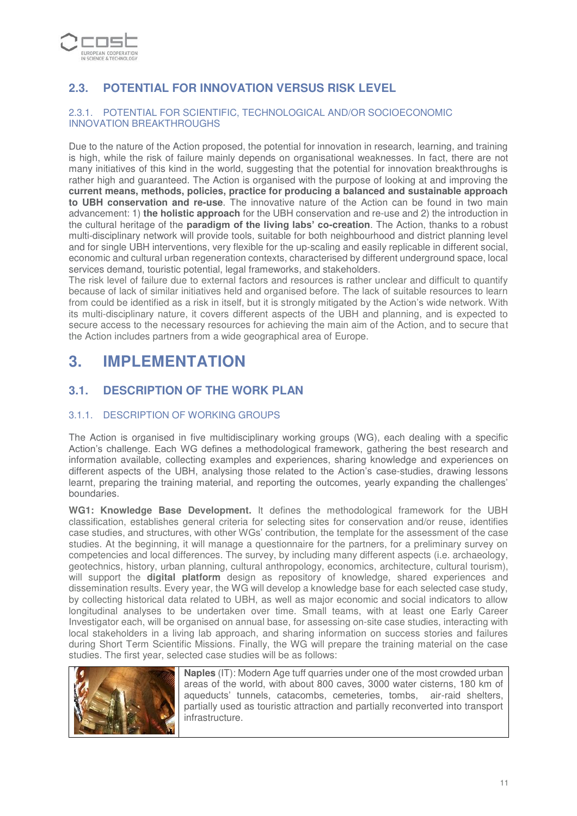

# **2.3. POTENTIAL FOR INNOVATION VERSUS RISK LEVEL**

#### 2.3.1. POTENTIAL FOR SCIENTIFIC, TECHNOLOGICAL AND/OR SOCIOECONOMIC INNOVATION BREAKTHROUGHS

Due to the nature of the Action proposed, the potential for innovation in research, learning, and training is high, while the risk of failure mainly depends on organisational weaknesses. In fact, there are not many initiatives of this kind in the world, suggesting that the potential for innovation breakthroughs is rather high and guaranteed. The Action is organised with the purpose of looking at and improving the **current means, methods, policies, practice for producing a balanced and sustainable approach to UBH conservation and re-use**. The innovative nature of the Action can be found in two main advancement: 1) **the holistic approach** for the UBH conservation and re-use and 2) the introduction in the cultural heritage of the **paradigm of the living labs' co-creation**. The Action, thanks to a robust multi-disciplinary network will provide tools, suitable for both neighbourhood and district planning level and for single UBH interventions, very flexible for the up-scaling and easily replicable in different social, economic and cultural urban regeneration contexts, characterised by different underground space, local services demand, touristic potential, legal frameworks, and stakeholders.

The risk level of failure due to external factors and resources is rather unclear and difficult to quantify because of lack of similar initiatives held and organised before. The lack of suitable resources to learn from could be identified as a risk in itself, but it is strongly mitigated by the Action's wide network. With its multi-disciplinary nature, it covers different aspects of the UBH and planning, and is expected to secure access to the necessary resources for achieving the main aim of the Action, and to secure that the Action includes partners from a wide geographical area of Europe.

# **3. IMPLEMENTATION**

## **3.1. DESCRIPTION OF THE WORK PLAN**

### 3.1.1. DESCRIPTION OF WORKING GROUPS

The Action is organised in five multidisciplinary working groups (WG), each dealing with a specific Action's challenge. Each WG defines a methodological framework, gathering the best research and information available, collecting examples and experiences, sharing knowledge and experiences on different aspects of the UBH, analysing those related to the Action's case-studies, drawing lessons learnt, preparing the training material, and reporting the outcomes, yearly expanding the challenges' boundaries.

**WG1: Knowledge Base Development.** It defines the methodological framework for the UBH classification, establishes general criteria for selecting sites for conservation and/or reuse, identifies case studies, and structures, with other WGs' contribution, the template for the assessment of the case studies. At the beginning, it will manage a questionnaire for the partners, for a preliminary survey on competencies and local differences. The survey, by including many different aspects (i.e. archaeology, geotechnics, history, urban planning, cultural anthropology, economics, architecture, cultural tourism), will support the **digital platform** design as repository of knowledge, shared experiences and dissemination results. Every year, the WG will develop a knowledge base for each selected case study, by collecting historical data related to UBH, as well as major economic and social indicators to allow longitudinal analyses to be undertaken over time. Small teams, with at least one Early Career Investigator each, will be organised on annual base, for assessing on-site case studies, interacting with local stakeholders in a living lab approach, and sharing information on success stories and failures during Short Term Scientific Missions. Finally, the WG will prepare the training material on the case studies. The first year, selected case studies will be as follows:



**Naples** (IT): Modern Age tuff quarries under one of the most crowded urban areas of the world, with about 800 caves, 3000 water cisterns, 180 km of aqueducts' tunnels, catacombs, cemeteries, tombs, air-raid shelters, partially used as touristic attraction and partially reconverted into transport infrastructure.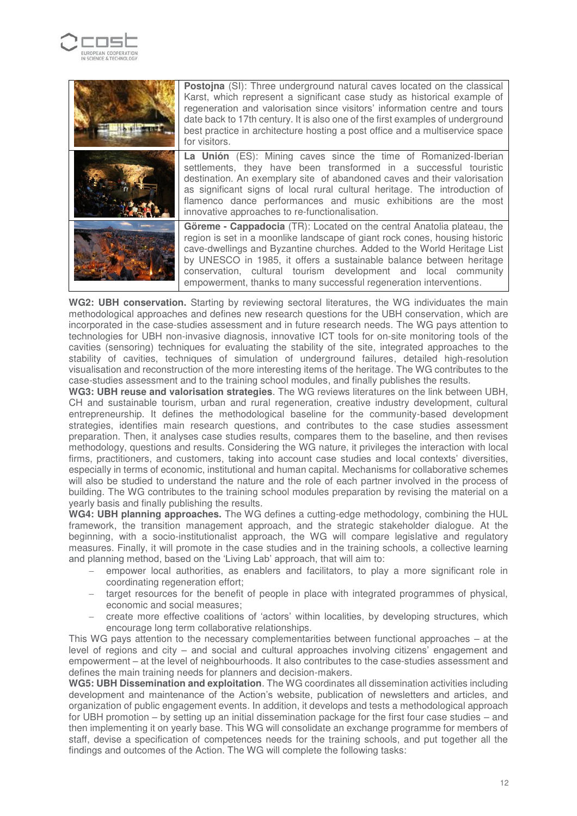



**WG2: UBH conservation.** Starting by reviewing sectoral literatures, the WG individuates the main methodological approaches and defines new research questions for the UBH conservation, which are incorporated in the case-studies assessment and in future research needs. The WG pays attention to technologies for UBH non-invasive diagnosis, innovative ICT tools for on-site monitoring tools of the cavities (sensoring) techniques for evaluating the stability of the site, integrated approaches to the stability of cavities, techniques of simulation of underground failures, detailed high-resolution visualisation and reconstruction of the more interesting items of the heritage. The WG contributes to the case-studies assessment and to the training school modules, and finally publishes the results.

**WG3: UBH reuse and valorisation strategies**. The WG reviews literatures on the link between UBH, CH and sustainable tourism, urban and rural regeneration, creative industry development, cultural entrepreneurship. It defines the methodological baseline for the community-based development strategies, identifies main research questions, and contributes to the case studies assessment preparation. Then, it analyses case studies results, compares them to the baseline, and then revises methodology, questions and results. Considering the WG nature, it privileges the interaction with local firms, practitioners, and customers, taking into account case studies and local contexts' diversities, especially in terms of economic, institutional and human capital. Mechanisms for collaborative schemes will also be studied to understand the nature and the role of each partner involved in the process of building. The WG contributes to the training school modules preparation by revising the material on a yearly basis and finally publishing the results.

**WG4: UBH planning approaches.** The WG defines a cutting-edge methodology, combining the HUL framework, the transition management approach, and the strategic stakeholder dialogue. At the beginning, with a socio-institutionalist approach, the WG will compare legislative and regulatory measures. Finally, it will promote in the case studies and in the training schools, a collective learning and planning method, based on the 'Living Lab' approach, that will aim to:

- empower local authorities, as enablers and facilitators, to play a more significant role in coordinating regeneration effort;
- target resources for the benefit of people in place with integrated programmes of physical, economic and social measures;
- − create more effective coalitions of 'actors' within localities, by developing structures, which encourage long term collaborative relationships.

This WG pays attention to the necessary complementarities between functional approaches – at the level of regions and city – and social and cultural approaches involving citizens' engagement and empowerment – at the level of neighbourhoods. It also contributes to the case-studies assessment and defines the main training needs for planners and decision-makers.

**WG5: UBH Dissemination and exploitation**. The WG coordinates all dissemination activities including development and maintenance of the Action's website, publication of newsletters and articles, and organization of public engagement events. In addition, it develops and tests a methodological approach for UBH promotion – by setting up an initial dissemination package for the first four case studies – and then implementing it on yearly base. This WG will consolidate an exchange programme for members of staff, devise a specification of competences needs for the training schools, and put together all the findings and outcomes of the Action. The WG will complete the following tasks: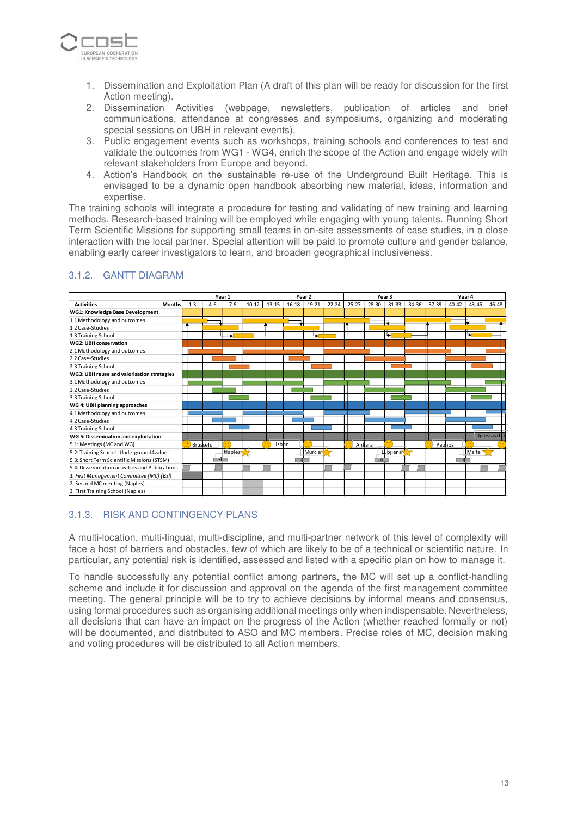

- 1. Dissemination and Exploitation Plan (A draft of this plan will be ready for discussion for the first Action meeting).
- 2. Dissemination Activities (webpage, newsletters, publication of articles and brief communications, attendance at congresses and symposiums, organizing and moderating special sessions on UBH in relevant events).
- 3. Public engagement events such as workshops, training schools and conferences to test and validate the outcomes from WG1 - WG4, enrich the scope of the Action and engage widely with relevant stakeholders from Europe and beyond.
- 4. Action's Handbook on the sustainable re-use of the Underground Built Heritage. This is envisaged to be a dynamic open handbook absorbing new material, ideas, information and expertise.

The training schools will integrate a procedure for testing and validating of new training and learning methods. Research-based training will be employed while engaging with young talents. Running Short Term Scientific Missions for supporting small teams in on-site assessments of case studies, in a close interaction with the local partner. Special attention will be paid to promote culture and gender balance, enabling early career investigators to learn, and broaden geographical inclusiveness.

|                                                | Year 1  |                 |        | Year <sub>2</sub> |           |           |                     | Year <sub>3</sub> |           |                |           | Year 4 |        |           |           |               |
|------------------------------------------------|---------|-----------------|--------|-------------------|-----------|-----------|---------------------|-------------------|-----------|----------------|-----------|--------|--------|-----------|-----------|---------------|
| <b>Activities</b><br><b>Months</b>             | $1 - 3$ | $4 - 6$         | $7-9$  | $10 - 12$         | $13 - 15$ | $16 - 18$ | 19-21               | $22 - 24$         | $25 - 27$ | 28-30          | $31 - 33$ | 34-36  | 37-39  | $40 - 42$ | $43 - 45$ | 46-48         |
| <b>WG1: Knowledge Base Development</b>         |         |                 |        |                   |           |           |                     |                   |           |                |           |        |        |           |           |               |
| 1.1 Methodology and outcomes                   |         |                 |        |                   |           |           |                     |                   |           |                | п         |        |        |           |           |               |
| 1.2 Case-Studies                               |         |                 |        |                   |           |           |                     |                   |           |                |           |        |        |           |           |               |
| 1.3 Training School                            |         |                 | ۰ı     |                   |           |           | رجا                 |                   |           |                | حيا       |        |        |           | احوا      |               |
| WG2: UBH conservation                          |         |                 |        |                   |           |           |                     |                   |           |                |           |        |        |           |           |               |
| 2.1 Methodology and outcomes                   |         |                 |        |                   |           |           |                     |                   |           |                |           |        |        |           |           |               |
| 2.2 Case-Studies                               |         |                 |        |                   |           |           |                     |                   |           |                |           |        |        |           |           |               |
| 2.3 Training School                            |         |                 |        |                   |           |           |                     |                   |           |                |           |        |        |           |           |               |
| WG3: UBH reuse and valorisation strategies     |         |                 |        |                   |           |           |                     |                   |           |                |           |        |        |           |           |               |
| 3.1 Methodology and outcomes                   |         |                 |        |                   |           |           |                     |                   |           |                |           |        |        |           |           |               |
| 3.2 Case-Studies                               |         |                 |        |                   |           |           |                     |                   |           |                |           |        |        |           |           |               |
| 3.3 Training School                            |         |                 |        |                   |           |           |                     |                   |           |                |           |        |        |           |           |               |
| WG 4: UBH planning approaches                  |         |                 |        |                   |           |           |                     |                   |           |                |           |        |        |           |           |               |
| 4.1 Methodology and outcomes                   |         |                 |        |                   |           |           |                     |                   |           |                |           |        |        |           |           |               |
| 4.2 Case-Studies                               |         |                 |        |                   |           |           |                     |                   |           |                |           |        |        |           |           |               |
| 4.3 Training School                            |         |                 |        |                   |           |           |                     |                   |           |                |           |        |        |           |           |               |
| WG 5: Dissemination and exploitation           |         |                 |        |                   |           |           |                     |                   |           |                |           |        |        |           |           | Iglesias (IT) |
| 5.1: Meetings (MC and WG)                      |         | <b>Brussels</b> |        |                   | Lisbon    |           |                     |                   |           | Ankara         |           |        | Paphos |           |           |               |
| 5.2: Training School "Underground4value"       |         |                 | Naples |                   |           |           | Murcia <sup>-</sup> |                   |           |                | Lubjiana  |        |        |           | Malta     |               |
| 5.3: Short Term Scientific Missions (STSM)     |         |                 |        |                   |           |           |                     |                   |           | $\overline{A}$ |           |        |        |           |           |               |
| 5.4: Dissemination activities and Publications |         |                 |        |                   |           |           |                     |                   |           |                |           |        |        |           |           |               |
| 1. First Management Committee (MC) (Bxl)       |         |                 |        |                   |           |           |                     |                   |           |                |           |        |        |           |           |               |
| 2. Second MC meeting (Naples)                  |         |                 |        |                   |           |           |                     |                   |           |                |           |        |        |           |           |               |
| 3. First Training School (Naples)              |         |                 |        |                   |           |           |                     |                   |           |                |           |        |        |           |           |               |

### 3.1.2. GANTT DIAGRAM

#### 3.1.3. RISK AND CONTINGENCY PLANS

A multi-location, multi-lingual, multi-discipline, and multi-partner network of this level of complexity will face a host of barriers and obstacles, few of which are likely to be of a technical or scientific nature. In particular, any potential risk is identified, assessed and listed with a specific plan on how to manage it.

To handle successfully any potential conflict among partners, the MC will set up a conflict-handling scheme and include it for discussion and approval on the agenda of the first management committee meeting. The general principle will be to try to achieve decisions by informal means and consensus, using formal procedures such as organising additional meetings only when indispensable. Nevertheless, all decisions that can have an impact on the progress of the Action (whether reached formally or not) will be documented, and distributed to ASO and MC members. Precise roles of MC, decision making and voting procedures will be distributed to all Action members.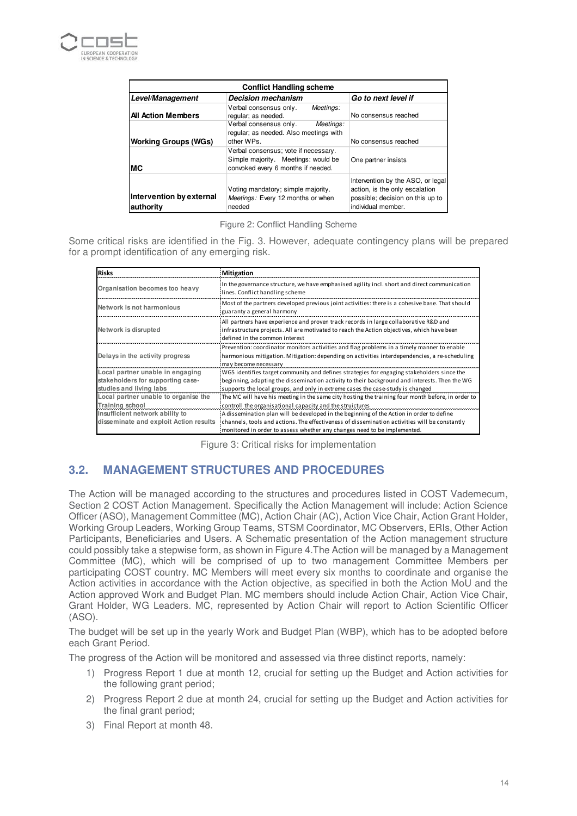

| <b>Conflict Handling scheme</b>       |                                                                                                                   |                                                                                                                               |  |  |  |
|---------------------------------------|-------------------------------------------------------------------------------------------------------------------|-------------------------------------------------------------------------------------------------------------------------------|--|--|--|
| Level/Management                      | <b>Decision mechanism</b>                                                                                         | Go to next level if                                                                                                           |  |  |  |
| <b>All Action Members</b>             | Verbal consensus only.<br>Meetings:<br>regular; as needed.                                                        | No consensus reached                                                                                                          |  |  |  |
| <b>Working Groups (WGs)</b>           | Verbal consensus only.<br>Meetings:<br>regular; as needed. Also meetings with<br>other WPs.                       | No consensus reached                                                                                                          |  |  |  |
| МC                                    | Verbal consensus; vote if necessary.<br>Simple majority. Meetings: would be<br>convoked every 6 months if needed. | One partner insists                                                                                                           |  |  |  |
| Intervention by external<br>authority | Voting mandatory; simple majority.<br>Meetings: Every 12 months or when<br>needed                                 | Intervention by the ASO, or legal<br>action, is the only escalation<br>possible; decision on this up to<br>individual member. |  |  |  |

Figure 2: Conflict Handling Scheme

Some critical risks are identified in the Fig. 3. However, adequate contingency plans will be prepared for a prompt identification of any emerging risk.

| <b>Risks</b>                                                 | Mitigation                                                                                                                                                                                                           |
|--------------------------------------------------------------|----------------------------------------------------------------------------------------------------------------------------------------------------------------------------------------------------------------------|
| Organisation becomes too heavy                               | In the governance structure, we have emphasised agility incl. short and direct communication<br>lines. Conflict handling scheme                                                                                      |
| Network is not harmonious                                    | Most of the partners developed previous joint activities: there is a cohesive base. That should<br>guaranty a general harmony                                                                                        |
| Network is disrupted                                         | All partners have experience and proven track records in large collaborative R&D and<br>infrastructure projects. All are motivated to reach the Action objectives, which have been<br>defined in the common interest |
| Delays in the activity progress                              | Prevention: coordinator monitors activities and flag problems in a timely manner to enable<br>harmonious mitigation. Mitigation: depending on activities interdependencies, a re-scheduling<br>may become necessary  |
| Local partner unable in engaging                             | WG5 identifies target community and defines strategies for engaging stakeholders since the                                                                                                                           |
| stakeholders for supporting case-<br>studies and living labs | beginning, adapting the dissemination activity to their background and interests. Then the WG<br>supports the local groups, and only in extreme cases the case-study is changed                                      |
| Local partner unable to organise the                         | The MC will have his meeting in the same city hosting the training four month before, in order to                                                                                                                    |
| Training school                                              | controll the organisational capacity and the struictures                                                                                                                                                             |
| Insufficient network ability to                              | A dissemination plan will be developed in the beginning of the Action in order to define                                                                                                                             |
| disseminate and exploit Action results                       | channels, tools and actions. The effectiveness of dissemination activities will be constantly                                                                                                                        |
|                                                              | monitored in order to assess whether any changes need to be implemented.                                                                                                                                             |

Figure 3: Critical risks for implementation

## **3.2. MANAGEMENT STRUCTURES AND PROCEDURES**

The Action will be managed according to the structures and procedures listed in COST Vademecum, Section 2 COST Action Management. Specifically the Action Management will include: Action Science Officer (ASO), Management Committee (MC), Action Chair (AC), Action Vice Chair, Action Grant Holder, Working Group Leaders, Working Group Teams, STSM Coordinator, MC Observers, ERIs, Other Action Participants, Beneficiaries and Users. A Schematic presentation of the Action management structure could possibly take a stepwise form, as shown in Figure 4.The Action will be managed by a Management Committee (MC), which will be comprised of up to two management Committee Members per participating COST country. MC Members will meet every six months to coordinate and organise the Action activities in accordance with the Action objective, as specified in both the Action MoU and the Action approved Work and Budget Plan. MC members should include Action Chair, Action Vice Chair, Grant Holder, WG Leaders. MC, represented by Action Chair will report to Action Scientific Officer (ASO).

The budget will be set up in the yearly Work and Budget Plan (WBP), which has to be adopted before each Grant Period.

The progress of the Action will be monitored and assessed via three distinct reports, namely:

- 1) Progress Report 1 due at month 12, crucial for setting up the Budget and Action activities for the following grant period;
- 2) Progress Report 2 due at month 24, crucial for setting up the Budget and Action activities for the final grant period:
- 3) Final Report at month 48.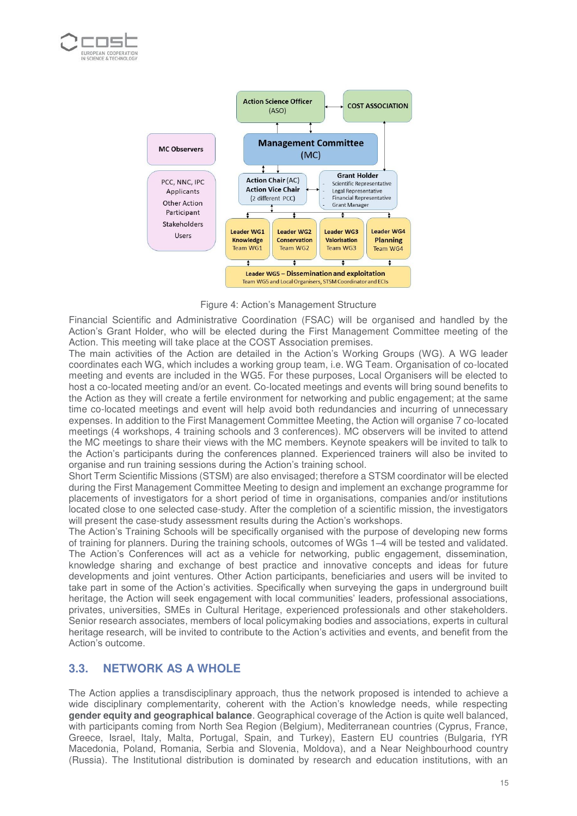



Figure 4: Action's Management Structure

Financial Scientific and Administrative Coordination (FSAC) will be organised and handled by the Action's Grant Holder, who will be elected during the First Management Committee meeting of the Action. This meeting will take place at the COST Association premises.

The main activities of the Action are detailed in the Action's Working Groups (WG). A WG leader coordinates each WG, which includes a working group team, i.e. WG Team. Organisation of co-located meeting and events are included in the WG5. For these purposes, Local Organisers will be elected to host a co-located meeting and/or an event. Co-located meetings and events will bring sound benefits to the Action as they will create a fertile environment for networking and public engagement; at the same time co-located meetings and event will help avoid both redundancies and incurring of unnecessary expenses. In addition to the First Management Committee Meeting, the Action will organise 7 co-located meetings (4 workshops, 4 training schools and 3 conferences). MC observers will be invited to attend the MC meetings to share their views with the MC members. Keynote speakers will be invited to talk to the Action's participants during the conferences planned. Experienced trainers will also be invited to organise and run training sessions during the Action's training school.

Short Term Scientific Missions (STSM) are also envisaged; therefore a STSM coordinator will be elected during the First Management Committee Meeting to design and implement an exchange programme for placements of investigators for a short period of time in organisations, companies and/or institutions located close to one selected case-study. After the completion of a scientific mission, the investigators will present the case-study assessment results during the Action's workshops.

The Action's Training Schools will be specifically organised with the purpose of developing new forms of training for planners. During the training schools, outcomes of WGs 1–4 will be tested and validated. The Action's Conferences will act as a vehicle for networking, public engagement, dissemination, knowledge sharing and exchange of best practice and innovative concepts and ideas for future developments and joint ventures. Other Action participants, beneficiaries and users will be invited to take part in some of the Action's activities. Specifically when surveying the gaps in underground built heritage, the Action will seek engagement with local communities' leaders, professional associations, privates, universities, SMEs in Cultural Heritage, experienced professionals and other stakeholders. Senior research associates, members of local policymaking bodies and associations, experts in cultural heritage research, will be invited to contribute to the Action's activities and events, and benefit from the Action's outcome.

## **3.3. NETWORK AS A WHOLE**

The Action applies a transdisciplinary approach, thus the network proposed is intended to achieve a wide disciplinary complementarity, coherent with the Action's knowledge needs, while respecting **gender equity and geographical balance**. Geographical coverage of the Action is quite well balanced, with participants coming from North Sea Region (Belgium), Mediterranean countries (Cyprus, France, Greece, Israel, Italy, Malta, Portugal, Spain, and Turkey), Eastern EU countries (Bulgaria, fYR Macedonia, Poland, Romania, Serbia and Slovenia, Moldova), and a Near Neighbourhood country (Russia). The Institutional distribution is dominated by research and education institutions, with an